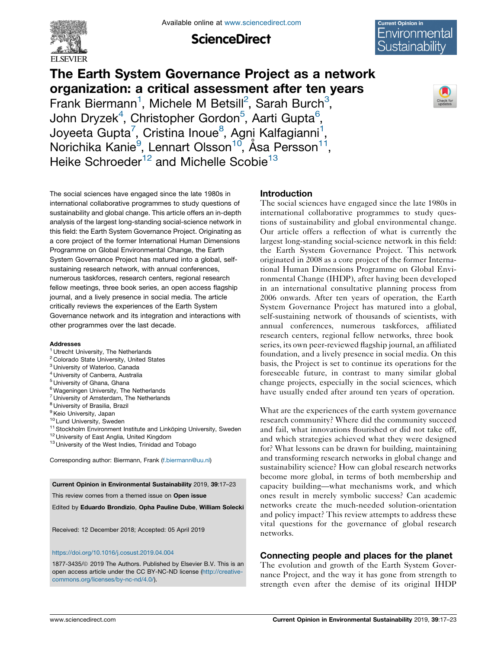

**ScienceDirect** 



# The Earth System Governance Project as a network organization: a critical assessment after ten years

Frank Biermann<sup>1</sup>, Michele M Betsill<sup>2</sup>, Sarah Burch<sup>3</sup>, John Dryzek $^4$ , Christopher Gordon $^5$ , Aarti Gupta $^6$ , Joyeeta Gupta<sup>7</sup>, Cristina Inoue<sup>8</sup>, Agni Kalfagianni<sup>1</sup>, Norichika Kanie<sup>9</sup>, Lennart Olsson<sup>10</sup>, Åsa Persson<sup>11</sup>, Heike Schroeder<sup>12</sup> and Michelle Scobie<sup>13</sup>



The social sciences have engaged since the late 1980s in international collaborative programmes to study questions of sustainability and global change. This article offers an in-depth analysis of the largest long-standing social-science network in this field: the Earth System Governance Project. Originating as a core project of the former International Human Dimensions Programme on Global Environmental Change, the Earth System Governance Project has matured into a global, selfsustaining research network, with annual conferences, numerous taskforces, research centers, regional research fellow meetings, three book series, an open access flagship journal, and a lively presence in social media. The article critically reviews the experiences of the Earth System Governance network and its integration and interactions with other programmes over the last decade.

#### **Addresses**

- <sup>1</sup> Utrecht University, The Netherlands
- <sup>2</sup> Colorado State University, United States
- <sup>3</sup> University of Waterloo, Canada
- <sup>4</sup> University of Canberra, Australia
- <sup>5</sup> University of Ghana, Ghana
- <sup>6</sup> Wageningen University, The Netherlands
- <sup>7</sup> University of Amsterdam, The Netherlands
- <sup>8</sup> University of Brasilia, Brazil
- <sup>9</sup> Keio University, Japan
- <sup>10</sup> Lund University, Sweden
- <sup>11</sup> Stockholm Environment Institute and Linköping University, Sweden
- <sup>12</sup> University of East Anglia, United Kingdom
- <sup>13</sup> University of the West Indies, Trinidad and Tobago

Corresponding author: Biermann, Frank [\(f.biermann@uu.nl\)](mailto:f.biermann@uu.nl)

Current Opinion in Environmental Sustainability 2019, 39:17–23

This review comes from a themed issue on Open issue

Edited by Eduardo Brondizio, Opha Pauline Dube, William Solecki

Received: 12 December 2018; Accepted: 05 April 2019

#### <https://doi.org/10.1016/j.cosust.2019.04.004>

1877-3435/© 2019 The Authors. Published by Elsevier B.V. This is an open access article under the CC BY-NC-ND license [\(http://creative](http://creativecommons.org/licenses/by-nc-nd/4.0/)[commons.org/licenses/by-nc-nd/4.0/](http://creativecommons.org/licenses/by-nc-nd/4.0/)).

# Introduction

The social sciences have engaged since the late 1980s in international collaborative programmes to study questions of sustainability and global environmental change. Our article offers a reflection of what is currently the largest long-standing social-science network in this field: the Earth System Governance Project. This network originated in 2008 as a core project of the former International Human Dimensions Programme on Global Environmental Change (IHDP), after having been developed in an international consultative planning process from 2006 onwards. After ten years of operation, the Earth System Governance Project has matured into a global, self-sustaining network of thousands of scientists, with annual conferences, numerous taskforces, affiliated research centers, regional fellow networks, three book series, its own peer-reviewed flagship journal, an affiliated foundation, and a lively presence in social media. On this basis, the Project is set to continue its operations for the foreseeable future, in contrast to many similar global change projects, especially in the social sciences, which have usually ended after around ten years of operation.

What are the experiences of the earth system governance research community? Where did the community succeed and fail, what innovations flourished or did not take off, and which strategies achieved what they were designed for? What lessons can be drawn for building, maintaining and transforming research networks in global change and sustainability science? How can global research networks become more global, in terms of both membership and capacity building—what mechanisms work, and which ones result in merely symbolic success? Can academic networks create the much-needed solution-orientation and policy impact? This review attempts to address these vital questions for the governance of global research networks.

# Connecting people and places for the planet

The evolution and growth of the Earth System Governance Project, and the way it has gone from strength to strength even after the demise of its original IHDP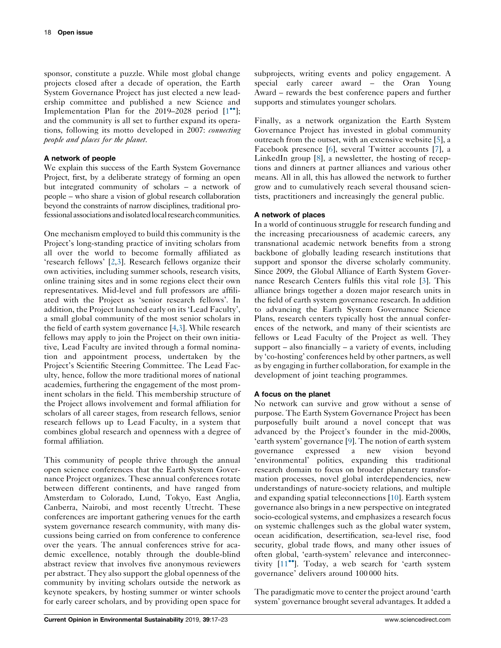sponsor, constitute a puzzle. While most global change projects closed after a decade of operation, the Earth System Governance Project has just elected a new leadership committee and published a new Science and Implementation Plan for the  $2019-2028$  period  $[1^{\bullet\bullet}]$ ; and the community is all set to further expand its operations, following its motto developed in 2007: connecting people and places for the planet.

# A network of people

We explain this success of the Earth System Governance Project, first, by a deliberate strategy of forming an open but integrated community of scholars – a network of people – who share a vision of global research collaboration beyond the constraints of narrow disciplines, traditional professional associations and isolated local research communities.

One mechanism employed to build this community is the Project's long-standing practice of inviting scholars from all over the world to become formally affiliated as 'research fellows' [[2,3](#page-6-0)]. Research fellows organize their own activities, including summer schools, research visits, online training sites and in some regions elect their own representatives. Mid-level and full professors are affiliated with the Project as 'senior research fellows'. In addition, the Project launched early on its 'Lead Faculty', a small global community of the most senior scholars in the field of earth system governance [[4,3](#page-6-0)]. While research fellows may apply to join the Project on their own initiative, Lead Faculty are invited through a formal nomination and appointment process, undertaken by the Project's Scientific Steering Committee. The Lead Faculty, hence, follow the more traditional mores of national academies, furthering the engagement of the most prominent scholars in the field. This membership structure of the Project allows involvement and formal affiliation for scholars of all career stages, from research fellows, senior research fellows up to Lead Faculty, in a system that combines global research and openness with a degree of formal affiliation.

This community of people thrive through the annual open science conferences that the Earth System Governance Project organizes. These annual conferences rotate between different continents, and have ranged from Amsterdam to Colorado, Lund, Tokyo, East Anglia, Canberra, Nairobi, and most recently Utrecht. These conferences are important gathering venues for the earth system governance research community, with many discussions being carried on from conference to conference over the years. The annual conferences strive for academic excellence, notably through the double-blind abstract review that involves five anonymous reviewers per abstract. They also support the global openness of the community by inviting scholars outside the network as keynote speakers, by hosting summer or winter schools for early career scholars, and by providing open space for subprojects, writing events and policy engagement. A special early career award – the Oran Young Award – rewards the best conference papers and further supports and stimulates younger scholars.

Finally, as a network organization the Earth System Governance Project has invested in global community outreach from the outset, with an extensive website [[5\]](#page-6-0), a Facebook presence [\[6](#page-6-0)], several Twitter accounts [[7\]](#page-6-0), a LinkedIn group [\[8](#page-6-0)], a newsletter, the hosting of receptions and dinners at partner alliances and various other means. All in all, this has allowed the network to further grow and to cumulatively reach several thousand scientists, practitioners and increasingly the general public.

# A network of places

In a world of continuous struggle for research funding and the increasing precariousness of academic careers, any transnational academic network benefits from a strong backbone of globally leading research institutions that support and sponsor the diverse scholarly community. Since 2009, the Global Alliance of Earth System Governance Research Centers fulfils this vital role [\[3](#page-6-0)]. This alliance brings together a dozen major research units in the field of earth system governance research. In addition to advancing the Earth System Governance Science Plans, research centers typically host the annual conferences of the network, and many of their scientists are fellows or Lead Faculty of the Project as well. They support – also financially – a variety of events, including by 'co-hosting' conferences held by other partners, as well as by engaging in further collaboration, for example in the development of joint teaching programmes.

# A focus on the planet

No network can survive and grow without a sense of purpose. The Earth System Governance Project has been purposefully built around a novel concept that was advanced by the Project's founder in the mid-2000s, 'earth system' governance [\[9](#page-6-0)]. The notion of earth system governance expressed a new vision beyond 'environmental' politics, expanding this traditional research domain to focus on broader planetary transformation processes, novel global interdependencies, new understandings of nature-society relations, and multiple and expanding spatial teleconnections [[10\]](#page-6-0). Earth system governance also brings in a new perspective on integrated socio-ecological systems, and emphasizes a research focus on systemic challenges such as the global water system, ocean acidification, desertification, sea-level rise, food security, global trade flows, and many other issues of often global, 'earth-system' relevance and interconnectivity  $[11\text{°}]$  $[11\text{°}]$  $[11\text{°}]$ . Today, a web search for 'earth system governance' delivers around 100 000 hits.

The paradigmatic move to center the project around 'earth system' governance brought several advantages. It added a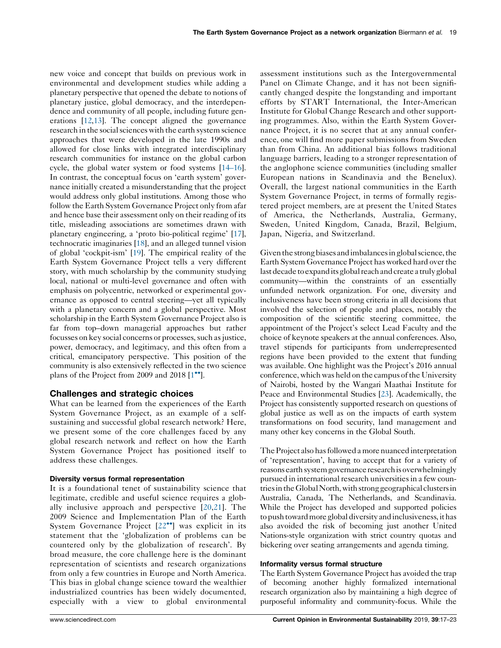new voice and concept that builds on previous work in environmental and development studies while adding a planetary perspective that opened the debate to notions of planetary justice, global democracy, and the interdependence and community of all people, including future generations [[12](#page-6-0),[13](#page-6-0)]. The concept aligned the governance research in the social sciences with the earth system science approaches that were developed in the late 1990s and allowed for close links with integrated interdisciplinary research communities for instance on the global carbon cycle, the global water system or food systems [\[14–16](#page-6-0)]. In contrast, the conceptual focus on 'earth system' governance initially created a misunderstanding that the project would address only global institutions. Among those who follow the Earth System Governance Project only from afar and hence base their assessment only on their reading of its title, misleading associations are sometimes drawn with planetary engineering, a 'proto bio-political regime' [[17](#page-6-0)], technocratic imaginaries [[18\]](#page-6-0), and an alleged tunnel vision of global 'cockpit-ism' [\[19](#page-6-0)]. The empirical reality of the Earth System Governance Project tells a very different story, with much scholarship by the community studying local, national or multi-level governance and often with emphasis on polycentric, networked or experimental governance as opposed to central steering—yet all typically with a planetary concern and a global perspective. Most scholarship in the Earth System Governance Project also is far from top–down managerial approaches but rather focusses on key social concerns or processes, such as justice, power, democracy, and legitimacy, and this often from a critical, emancipatory perspective. This position of the community is also extensively reflected in the two science plans of the Project from 2009 and 2018  $[1^{\bullet\bullet}].$ 

# Challenges and strategic choices

What can be learned from the experiences of the Earth System Governance Project, as an example of a selfsustaining and successful global research network? Here, we present some of the core challenges faced by any global research network and reflect on how the Earth System Governance Project has positioned itself to address these challenges.

#### Diversity versus formal representation

It is a foundational tenet of sustainability science that legitimate, credible and useful science requires a globally inclusive approach and perspective [[20,21](#page-6-0)]. The 2009 Science and Implementation Plan of the Earth System Governance Project  $[22^{\bullet\bullet}]$  $[22^{\bullet\bullet}]$  was explicit in its statement that the 'globalization of problems can be countered only by the globalization of research'. By broad measure, the core challenge here is the dominant representation of scientists and research organizations from only a few countries in Europe and North America. This bias in global change science toward the wealthier industrialized countries has been widely documented, especially with a view to global environmental

assessment institutions such as the Intergovernmental Panel on Climate Change, and it has not been significantly changed despite the longstanding and important efforts by START International, the Inter-American Institute for Global Change Research and other supporting programmes. Also, within the Earth System Governance Project, it is no secret that at any annual conference, one will find more paper submissions from Sweden than from China. An additional bias follows traditional language barriers, leading to a stronger representation of the anglophone science communities (including smaller European nations in Scandinavia and the Benelux). Overall, the largest national communities in the Earth System Governance Project, in terms of formally registered project members, are at present the United States of America, the Netherlands, Australia, Germany, Sweden, United Kingdom, Canada, Brazil, Belgium, Japan, Nigeria, and Switzerland.

Given the strong biases and imbalances in global science, the Earth System Governance Project has worked hard over the last decade to expand its global reach and create a truly global community—within the constraints of an essentially unfunded network organization. For one, diversity and inclusiveness have been strong criteria in all decisions that involved the selection of people and places, notably the composition of the scientific steering committee, the appointment of the Project's select Lead Faculty and the choice of keynote speakers at the annual conferences. Also, travel stipends for participants from underrepresented regions have been provided to the extent that funding was available. One highlight was the Project's 2016 annual conference, which was held on the campus of the University of Nairobi, hosted by the Wangari Maathai Institute for Peace and Environmental Studies [\[23\]](#page-6-0). Academically, the Project has consistently supported research on questions of global justice as well as on the impacts of earth system transformations on food security, land management and many other key concerns in the Global South.

The Project also has followed a more nuanced interpretation of 'representation', having to accept that for a variety of reasons earth system governance researchis overwhelmingly pursued in international research universitiesin a few countriesintheGlobalNorth,withstrong geographical clustersin Australia, Canada, The Netherlands, and Scandinavia. While the Project has developed and supported policies to push toward more global diversity and inclusiveness, it has also avoided the risk of becoming just another United Nations-style organization with strict country quotas and bickering over seating arrangements and agenda timing.

#### Informality versus formal structure

The Earth System Governance Project has avoided the trap of becoming another highly formalized international research organization also by maintaining a high degree of purposeful informality and community-focus. While the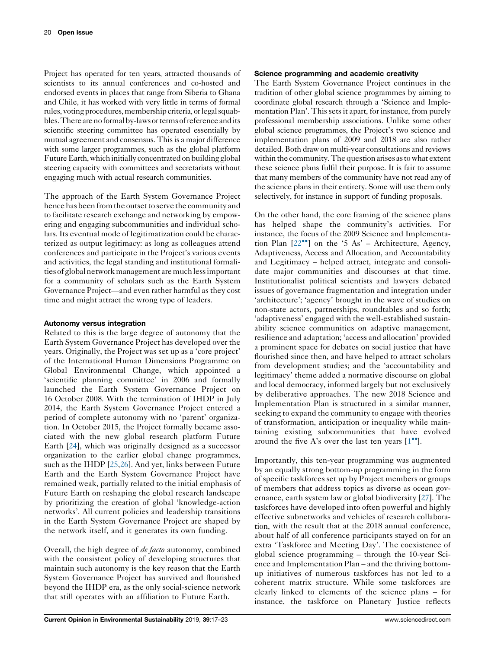Project has operated for ten years, attracted thousands of scientists to its annual conferences and co-hosted and endorsed events in places that range from Siberia to Ghana and Chile, it has worked with very little in terms of formal rules, voting procedures, membership criteria, or legal squabbles.There are no formal by-laws or terms of reference andits scientific steering committee has operated essentially by mutual agreement and consensus. This is a major difference with some larger programmes, such as the global platform Future Earth, which initially concentrated on building global steering capacity with committees and secretariats without engaging much with actual research communities.

The approach of the Earth System Governance Project hence has been from the outset to serve the community and to facilitate research exchange and networking by empowering and engaging subcommunities and individual scholars. Its eventual mode of legitimatization could be characterized as output legitimacy: as long as colleagues attend conferences and participate in the Project's various events and activities, the legal standing and institutional formalities of global network management are much less important for a community of scholars such as the Earth System Governance Project—and even rather harmful as they cost time and might attract the wrong type of leaders.

# Autonomy versus integration

Related to this is the large degree of autonomy that the Earth System Governance Project has developed over the years. Originally, the Project was set up as a 'core project' of the International Human Dimensions Programme on Global Environmental Change, which appointed a 'scientific planning committee' in 2006 and formally launched the Earth System Governance Project on 16 October 2008. With the termination of IHDP in July 2014, the Earth System Governance Project entered a period of complete autonomy with no 'parent' organization. In October 2015, the Project formally became associated with the new global research platform Future Earth [\[24](#page-6-0)], which was originally designed as a successor organization to the earlier global change programmes, such as the IHDP [[25,26\]](#page-6-0). And yet, links between Future Earth and the Earth System Governance Project have remained weak, partially related to the initial emphasis of Future Earth on reshaping the global research landscape by prioritizing the creation of global 'knowledge-action networks'. All current policies and leadership transitions in the Earth System Governance Project are shaped by the network itself, and it generates its own funding.

Overall, the high degree of *de facto* autonomy, combined with the consistent policy of developing structures that maintain such autonomy is the key reason that the Earth System Governance Project has survived and flourished beyond the IHDP era, as the only social-science network that still operates with an affiliation to Future Earth.

# Science programming and academic creativity

The Earth System Governance Project continues in the tradition of other global science programmes by aiming to coordinate global research through a 'Science and Implementation Plan'. This sets it apart, for instance, from purely professional membership associations. Unlike some other global science programmes, the Project's two science and implementation plans of 2009 and 2018 are also rather detailed. Both draw on multi-year consultations and reviews within the community. The question arises as to what extent these science plans fulfil their purpose. It is fair to assume that many members of the community have not read any of the science plans in their entirety. Some will use them only selectively, for instance in support of funding proposals.

On the other hand, the core framing of the science plans has helped shape the community's activities. For instance, the focus of the 2009 Science and Implementation Plan  $[22^{\bullet\bullet}]$  on the '5 As' – [Architecture,](#page-6-0) Agency, Adaptiveness, Access and Allocation, and Accountability and Legitimacy – helped attract, integrate and consolidate major communities and discourses at that time. Institutionalist political scientists and lawyers debated issues of governance fragmentation and integration under 'architecture'; 'agency' brought in the wave of studies on non-state actors, partnerships, roundtables and so forth; 'adaptiveness' engaged with the well-established sustainability science communities on adaptive management, resilience and adaptation; 'access and allocation' provided a prominent space for debates on social justice that have flourished since then, and have helped to attract scholars from development studies; and the 'accountability and legitimacy' theme added a normative discourse on global and local democracy, informed largely but not exclusively by deliberative approaches. The new 2018 Science and Implementation Plan is structured in a similar manner, seeking to expand the community to engage with theories of transformation, anticipation or inequality while maintaining existing subcommunities that have evolved around the five A's over the last ten years  $[1^{\bullet}].$ 

Importantly, this ten-year programming was augmented by an equally strong bottom-up programming in the form of specific taskforces set up by Project members or groups of members that address topics as diverse as ocean governance, earth system law or global biodiversity [[27\]](#page-6-0). The taskforces have developed into often powerful and highly effective subnetworks and vehicles of research collaboration, with the result that at the 2018 annual conference, about half of all conference participants stayed on for an extra 'Taskforce and Meeting Day'. The coexistence of global science programming – through the 10-year Science and Implementation Plan – and the thriving bottomup initiatives of numerous taskforces has not led to a coherent matrix structure. While some taskforces are clearly linked to elements of the science plans – for instance, the taskforce on Planetary Justice reflects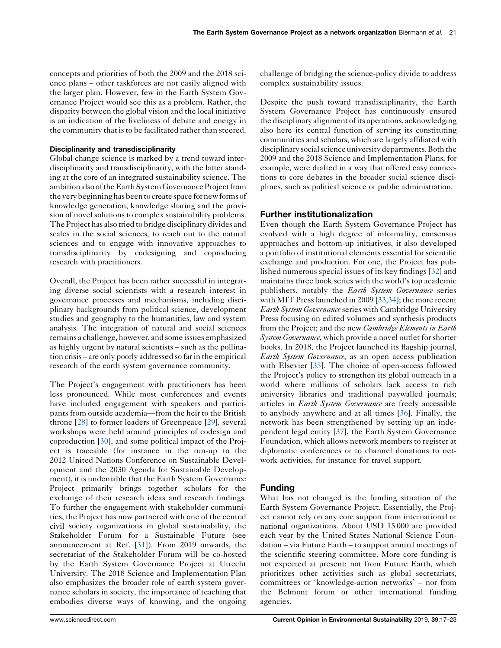concepts and priorities of both the 2009 and the 2018 science plans – other taskforces are not easily aligned with the larger plan. However, few in the Earth System Governance Project would see this as a problem. Rather, the disparity between the global vision and the local initiative is an indication of the liveliness of debate and energy in the community that is to be facilitated rather than steered.

# Disciplinarity and transdisciplinarity

Global change science is marked by a trend toward interdisciplinarity and transdisciplinarity, with the latter standing at the core of an integrated sustainability science. The ambition also of the Earth System Governance Project from the verybeginning has beento create space fornew forms of knowledge generation, knowledge sharing and the provision of novel solutions to complex sustainability problems. The Project has also tried to bridge disciplinary divides and scales in the social sciences, to reach out to the natural sciences and to engage with innovative approaches to transdisciplinarity by codesigning and coproducing research with practitioners.

Overall, the Project has been rather successful in integrating diverse social scientists with a research interest in governance processes and mechanisms, including disciplinary backgrounds from political science, development studies and geography to the humanities, law and system analysis. The integration of natural and social sciences remains a challenge, however, and some issues emphasized as highly urgent by natural scientists – such as the pollination crisis – are only poorly addressed so farin the empirical research of the earth system governance community.

The Project's engagement with practitioners has been less pronounced. While most conferences and events have included engagement with speakers and participants from outside academia—from the heir to the British throne [[28\]](#page-6-0) to former leaders of Greenpeace [\[29](#page-6-0)], several workshops were held around principles of codesign and coproduction [[30](#page-6-0)], and some political impact of the Project is traceable (for instance in the run-up to the 2012 United Nations Conference on Sustainable Development and the 2030 Agenda for Sustainable Development), it is undeniable that the Earth System Governance Project primarily brings together scholars for the exchange of their research ideas and research findings. To further the engagement with stakeholder communities, the Project has now partnered with one of the central civil society organizations in global sustainability, the Stakeholder Forum for a Sustainable Future (see announcement at Ref. [[31\]](#page-6-0)). From 2019 onwards, the secretariat of the Stakeholder Forum will be co-hosted by the Earth System Governance Project at Utrecht University. The 2018 Science and Implementation Plan also emphasizes the broader role of earth system governance scholars in society, the importance of teaching that embodies diverse ways of knowing, and the ongoing

challenge of bridging the science-policy divide to address complex sustainability issues.

Despite the push toward transdisciplinarity, the Earth System Governance Project has continuously ensured the disciplinary alignment ofits operations, acknowledging also here its central function of serving its constituting communities and scholars, which are largely affiliated with disciplinary social science university departments. Both the 2009 and the 2018 Science and Implementation Plans, for example, were drafted in a way that offered easy connections to core debates in the broader social science disciplines, such as political science or public administration.

# Further institutionalization

Even though the Earth System Governance Project has evolved with a high degree of informality, consensus approaches and bottom-up initiatives, it also developed a portfolio of institutional elements essential for scientific exchange and production. For one, the Project has published numerous special issues of its key findings [\[32](#page-6-0)] and maintains three book series with the world's top academic publishers, notably the *Earth System Governance* series with MIT Press launched in 2009 [\[33](#page-6-0),[34\]](#page-6-0); the more recent Earth System Governance series with Cambridge University Press focusing on edited volumes and synthesis products from the Project; and the new *Cambridge Elements in Earth* System Governance, which provide a novel outlet for shorter books. In 2018, the Project launched its flagship journal, Earth System Governance, as an open access publication with Elsevier [[35\]](#page-6-0). The choice of open-access followed the Project's policy to strengthen its global outreach in a world where millions of scholars lack access to rich university libraries and traditional paywalled journals; articles in *Earth System Governance* are freely accessible to anybody anywhere and at all times [[36\]](#page-6-0). Finally, the network has been strengthened by setting up an independent legal entity [[37\]](#page-6-0), the Earth System Governance Foundation, which allows network members to register at diplomatic conferences or to channel donations to network activities, for instance for travel support.

# Funding

What has not changed is the funding situation of the Earth System Governance Project. Essentially, the Project cannot rely on any core support from international or national organizations. About USD 15 000 are provided each year by the United States National Science Foundation – via Future Earth – to support annual meetings of the scientific steering committee. More core funding is not expected at present: not from Future Earth, which prioritizes other activities such as global secretariats, committees or 'knowledge-action networks' – nor from the Belmont forum or other international funding agencies.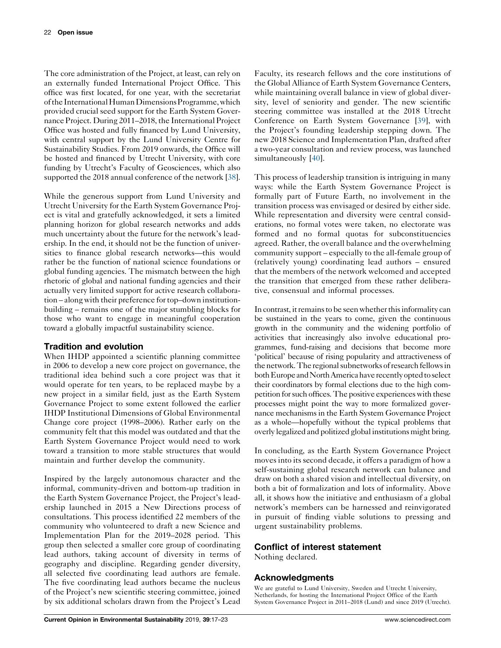The core administration of the Project, at least, can rely on an externally funded International Project Office. This office was first located, for one year, with the secretariat of the International Human Dimensions Programme, which provided crucial seed support for the Earth System Governance Project. During 2011–2018, the International Project Office was hosted and fully financed by Lund University, with central support by the Lund University Centre for Sustainability Studies. From 2019 onwards, the Office will be hosted and financed by Utrecht University, with core funding by Utrecht's Faculty of Geosciences, which also supported the 2018 annual conference of the network [[38](#page-6-0)].

While the generous support from Lund University and Utrecht University for the Earth System Governance Project is vital and gratefully acknowledged, it sets a limited planning horizon for global research networks and adds much uncertainty about the future for the network's leadership. In the end, it should not be the function of universities to finance global research networks—this would rather be the function of national science foundations or global funding agencies. The mismatch between the high rhetoric of global and national funding agencies and their actually very limited support for active research collaboration – along with their preference fortop–down institutionbuilding – remains one of the major stumbling blocks for those who want to engage in meaningful cooperation toward a globally impactful sustainability science.

# Tradition and evolution

When IHDP appointed a scientific planning committee in 2006 to develop a new core project on governance, the traditional idea behind such a core project was that it would operate for ten years, to be replaced maybe by a new project in a similar field, just as the Earth System Governance Project to some extent followed the earlier IHDP Institutional Dimensions of Global Environmental Change core project (1998–2006). Rather early on the community felt that this model was outdated and that the Earth System Governance Project would need to work toward a transition to more stable structures that would maintain and further develop the community.

Inspired by the largely autonomous character and the informal, community-driven and bottom-up tradition in the Earth System Governance Project, the Project's leadership launched in 2015 a New Directions process of consultations. This process identified 22 members of the community who volunteered to draft a new Science and Implementation Plan for the 2019–2028 period. This group then selected a smaller core group of coordinating lead authors, taking account of diversity in terms of geography and discipline. Regarding gender diversity, all selected five coordinating lead authors are female. The five coordinating lead authors became the nucleus of the Project's new scientific steering committee, joined by six additional scholars drawn from the Project's Lead

Faculty, its research fellows and the core institutions of the Global Alliance of Earth System Governance Centers, while maintaining overall balance in view of global diversity, level of seniority and gender. The new scientific steering committee was installed at the 2018 Utrecht Conference on Earth System Governance [[39\]](#page-6-0), with the Project's founding leadership stepping down. The new 2018 Science and Implementation Plan, drafted after a two-year consultation and review process, was launched simultaneously [\[40](#page-6-0)].

This process of leadership transition is intriguing in many ways: while the Earth System Governance Project is formally part of Future Earth, no involvement in the transition process was envisaged or desired by either side. While representation and diversity were central considerations, no formal votes were taken, no electorate was formed and no formal quotas for subconstituencies agreed. Rather, the overall balance and the overwhelming community support – especially to the all-female group of (relatively young) coordinating lead authors – ensured that the members of the network welcomed and accepted the transition that emerged from these rather deliberative, consensual and informal processes.

In contrast, it remains to be seen whether this informality can be sustained in the years to come, given the continuous growth in the community and the widening portfolio of activities that increasingly also involve educational programmes, fund-raising and decisions that become more 'political' because of rising popularity and attractiveness of the network. The regional subnetworks of research fellows in both Europe and North America have recently opted to select their coordinators by formal elections due to the high competition forsuch offices.The positive experienceswith these processes might point the way to more formalized governance mechanisms in the Earth System Governance Project as a whole—hopefully without the typical problems that overly legalized and politized global institutions might bring.

In concluding, as the Earth System Governance Project moves into its second decade, it offers a paradigm of how a self-sustaining global research network can balance and draw on both a shared vision and intellectual diversity, on both a bit of formalization and lots of informality. Above all, it shows how the initiative and enthusiasm of a global network's members can be harnessed and reinvigorated in pursuit of finding viable solutions to pressing and urgent sustainability problems.

# Conflict of interest statement

Nothing declared.

# Acknowledgments

We are grateful to Lund University, Sweden and Utrecht University, Netherlands, for hosting the International Project Office of the Earth System Governance Project in 2011–2018 (Lund) and since 2019 (Utrecht).